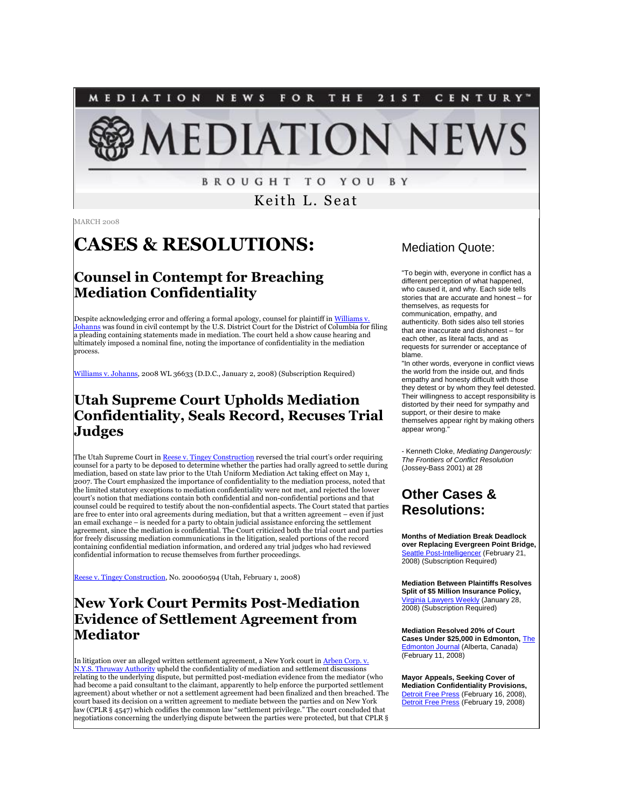**MEDIATION** NEWS FOR THE 21ST CENTURY' **AEDIATION NEWS** 

**BROUGHT TO YOU BY** 

Keith L. Seat

MARCH 2008

# **CASES & RESOLUTIONS:**

# **Counsel in Contempt for Breaching Mediation Confidentiality**

Despite acknowledging error and offering a formal apology, counsel for plaintiff in Williams v. [Johanns](http://tinyurl.com/2orus8) was found in civil contempt by the U.S. District Court for the District of Columbia for filing a pleading containing statements made in mediation. The court held a show cause hearing and ultimately imposed a nominal fine, noting the importance of confidentiality in the mediation process.

[Williams v. Johanns,](http://tinyurl.com/2orus8) 2008 WL 36633 (D.D.C., January 2, 2008) (Subscription Required)

# **Utah Supreme Court Upholds Mediation Confidentiality, Seals Record, Recuses Trial Judges**

The Utah Supreme Court i[n Reese v. Tingey Construction](http://www.utcourts.gov/opinions/supopin/Reese2020108.pdf) reversed the trial court's order requiring counsel for a party to be deposed to determine whether the parties had orally agreed to settle during mediation, based on state law prior to the Utah Uniform Mediation Act taking effect on May 1, 2007. The Court emphasized the importance of confidentiality to the mediation process, noted that the limited statutory exceptions to mediation confidentiality were not met, and rejected the lower court's notion that mediations contain both confidential and non-confidential portions and that counsel could be required to testify about the non-confidential aspects. The Court stated that parties are free to enter into oral agreements during mediation, but that a written agreement – even if just an email exchange – is needed for a party to obtain judicial assistance enforcing the settlement agreement, since the mediation is confidential. The Court criticized both the trial court and parties for freely discussing mediation communications in the litigation, sealed portions of the record containing confidential mediation information, and ordered any trial judges who had reviewed confidential information to recuse themselves from further proceedings.

[Reese v. Tingey Construction,](http://www.utcourts.gov/opinions/supopin/Reese2020108.pdf) No. 200060594 (Utah, February 1, 2008)

# **New York Court Permits Post-Mediation Evidence of Settlement Agreement from Mediator**

In litigation over an alleged written settlement agreement, a New York court in <u>Arben Corp. v.</u> [N.Y.S. Thruway Authority](http://tinyurl.com/2we5qx) upheld the confidentiality of mediation and settlement discussions relating to the underlying dispute, but permitted post-mediation evidence from the mediator (who had become a paid consultant to the claimant, apparently to help enforce the purported settlement agreement) about whether or not a settlement agreement had been finalized and then breached. The court based its decision on a written agreement to mediate between the parties and on New York law (CPLR § 4547) which codifies the common law "settlement privilege." The court concluded that negotiations concerning the underlying dispute between the parties were protected, but that CPLR §

#### Mediation Quote:

"To begin with, everyone in conflict has a different perception of what happened, who caused it, and why. Each side tells stories that are accurate and honest – for themselves, as requests for communication, empathy, and authenticity. Both sides also tell stories that are inaccurate and dishonest – for each other, as literal facts, and as requests for surrender or acceptance of blame.

"In other words, everyone in conflict views the world from the inside out, and finds empathy and honesty difficult with those they detest or by whom they feel detested. Their willingness to accept responsibility is distorted by their need for sympathy and support, or their desire to make themselves appear right by making others appear wrong.

- Kenneth Cloke, *Mediating Dangerously: The Frontiers of Conflict Resolution* (Jossey-Bass 2001) at 28

# **Other Cases & Resolutions:**

**Months of Mediation Break Deadlock over Replacing Evergreen Point Bridge,** ost-Intelligencer (February 21, **2008)** (Subscription Required)

**Mediation Between Plaintiffs Resolves Split of \$5 Million Insurance Policy,**  [Virginia Lawyers Weekly](http://tinyurl.com/2lfrbb) (January 28, 2008) (Subscription Required)

**Mediation Resolved 20% of Court Cases Under \$25,000 in Edmonton,** [The](http://tinyurl.com/2jjkwj)  [Edmonton Journal](http://tinyurl.com/2jjkwj) (Alberta, Canada) (February 11, 2008)

**Mayor Appeals, Seeking Cover of Mediation Confidentiality Provisions,**  [Detroit Free Press](http://tinyurl.com/394mds) (February 16, 2008), [Detroit Free Press](http://tinyurl.com/325tog) (February 19, 2008)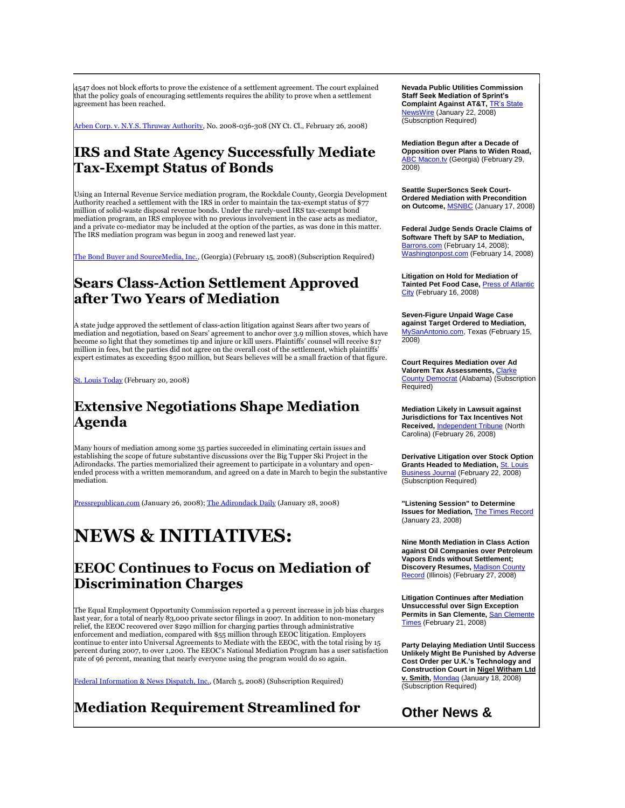4547 does not block efforts to prove the existence of a settlement agreement. The court explained that the policy goals of encouraging settlements requires the ability to prove when a settlement agreement has been reached.

[Arben Corp. v. N.Y.S. Thruway Authority,](http://tinyurl.com/2we5qx) No. 2008-036-308 (NY Ct. Cl., February 26, 2008)

### **IRS and State Agency Successfully Mediate Tax-Exempt Status of Bonds**

Using an Internal Revenue Service mediation program, the Rockdale County, Georgia Development Authority reached a settlement with the IRS in order to maintain the tax-exempt status of \$77 million of solid-waste disposal revenue bonds. Under the rarely-used IRS tax-exempt bond mediation program, an IRS employee with no previous involvement in the case acts as mediator, and a private co-mediator may be included at the option of the parties, as was done in this matter. The IRS mediation program was begun in 2003 and renewed last year.

[The Bond Buyer and SourceMedia, Inc.,](http://tinyurl.com/2nhgr2) (Georgia) (February 15, 2008) (Subscription Required)

#### **Sears Class-Action Settlement Approved after Two Years of Mediation**

A state judge approved the settlement of class-action litigation against Sears after two years of mediation and negotiation, based on Sears' agreement to anchor over 3.9 million stoves, which have become so light that they sometimes tip and injure or kill users. Plaintiffs' counsel will receive \$17 million in fees, but the parties did not agree on the overall cost of the settlement, which plaintiffs' expert estimates as exceeding \$500 million, but Sears believes will be a small fraction of that figure.

[St. Louis Today](http://tinyurl.com/28lt6p) (February 20, 2008)

### **Extensive Negotiations Shape Mediation Agenda**

Many hours of mediation among some 35 parties succeeded in eliminating certain issues and establishing the scope of future substantive discussions over the Big Tupper Ski Project in the Adirondacks. The parties memorialized their agreement to participate in a voluntary and openended process with a written memorandum, and agreed on a date in March to begin the substantive mediation.

[Pressrepublican.com](http://www.pressrepublican.com/homepage/local_story_026053031.html) (January 26, 2008)[; The Adirondack Daily](http://www.adirondackdailyenterprise.com/news/articles.asp?articleID=10171) (January 28, 2008)

# **NEWS & INITIATIVES:**

#### **EEOC Continues to Focus on Mediation of Discrimination Charges**

The Equal Employment Opportunity Commission reported a 9 percent increase in job bias charges last year, for a total of nearly 83,000 private sector filings in 2007. In addition to non-monetary relief, the EEOC recovered over \$290 million for charging parties through administrative enforcement and mediation, compared with \$55 million through EEOC litigation. Employers continue to enter into Universal Agreements to Mediate with the EEOC, with the total rising by 15 percent during 2007, to over 1,200. The EEOC's National Mediation Program has a user satisfaction rate of 96 percent, meaning that nearly everyone using the program would do so again.

[Federal Information & News Dispatch, Inc.,](http://tinyurl.com/2qlxzk) (March 5, 2008) (Subscription Required)

# **Mediation Requirement Streamlined for**

**Nevada Public Utilities Commission Staff Seek Mediation of Sprint's Complaint Against AT&T,** [TR's State](http://tinyurl.com/2p4z6x)  [NewsWire](http://tinyurl.com/2p4z6x) (January 22, 2008) (Subscription Required)

**Mediation Begun after a Decade of Opposition over Plans to Widen Road,**  [ABC Macon.tv](http://www.macon.tv/news/local/16084232.html) (Georgia) (February 29, 2008)

**Seattle SuperSoncs Seek Court-Ordered Mediation with Precondition on Outcome,** [MSNBC](http://www.msnbc.msn.com/id/22716272/) (January 17, 2008)

**Federal Judge Sends Oracle Claims of Software Theft by SAP to Mediation,**  [Barrons.com](http://tinyurl.com/2j5vly) (February 14, 2008); [Washingtonpost.com](http://tinyurl.com/2um92e) (February 14, 2008)

**Litigation on Hold for Mediation of Tainted Pet Food Case,** [Press of Atlantic](http://www.pressofatlanticcity.com/183/story/83101.html)  [City](http://www.pressofatlanticcity.com/183/story/83101.html) (February 16, 2008)

**Seven-Figure Unpaid Wage Case against Target Ordered to Mediation,**  [MySanAntonio.com,](http://tinyurl.com/38fq8j) Texas (February 15,  $2008$ 

**Court Requires Mediation over Ad Valorem Tax Assessments, Clark** [County Democrat](http://www.clarkecountydemocrat.com/news/2008/0221/Community/022.html) (Alabama) (Subscription Required)

**Mediation Likely in Lawsuit against Jurisdictions for Tax Incentives Not Received,** [Independent Tribune](http://tinyurl.com/34a3m5) (North Carolina) (February 26, 2008)

**Derivative Litigation over Stock Option Grants Headed to Mediation, St. Long** [Business Journal](http://tinyurl.com/3xs4dv) (February 22, 2008) (Subscription Required)

**"Listening Session" to Determine Issues for Mediation,** [The Times Record](http://tinyurl.com/3ywh3n) (January 23, 2008)

**Nine Month Mediation in Class Action against Oil Companies over Petroleum Vapors Ends without Settlement; Discovery Resumes,** [Madison County](http://tinyurl.com/2u4y9y)  [Record](http://tinyurl.com/2u4y9y) (Illinois) (February 27, 2008)

**Litigation Continues after Mediation Unsuccessful over Sign Exception Permits in San Clemente, San Clem** [Times](http://tinyurl.com/326qrf) (February 21, 2008)

**Party Delaying Mediation Until Success Unlikely Might Be Punished by Adverse Cost Order per U.K.'s Technology and Construction Court in Nigel Witham Ltd v. Smith,** [Mondaq](http://tinyurl.com/3797gd) (January 18, 2008) (Subscription Required)

### **Other News &**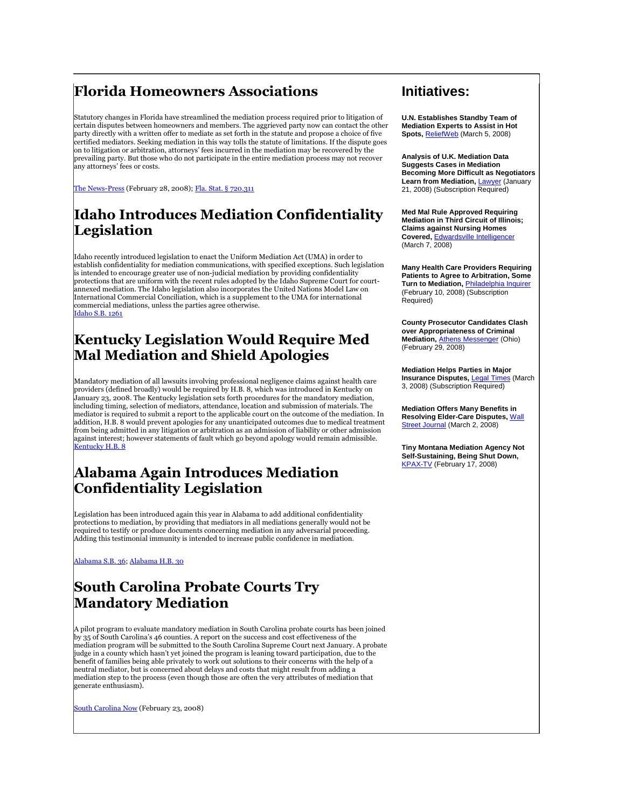# **Florida Homeowners Associations**

Statutory changes in Florida have streamlined the mediation process required prior to litigation of certain disputes between homeowners and members. The aggrieved party now can contact the other party directly with a written offer to mediate as set forth in the statute and propose a choice of five certified mediators. Seeking mediation in this way tolls the statute of limitations. If the dispute goes on to litigation or arbitration, attorneys' fees incurred in the mediation may be recovered by the prevailing party. But those who do not participate in the entire mediation process may not recover any attorneys' fees or costs.

[The News-Press](http://tinyurl.com/36fmo9) (February 28, 2008)[; Fla. Stat. § 720.311](http://tinyurl.com/3yyw37)

# **Idaho Introduces Mediation Confidentiality Legislation**

Idaho recently introduced legislation to enact the Uniform Mediation Act (UMA) in order to establish confidentiality for mediation communications, with specified exceptions. Such legislation is intended to encourage greater use of non-judicial mediation by providing confidentiality protections that are uniform with the recent rules adopted by the Idaho Supreme Court for court-annexed mediation. The Idaho legislation also incorporates the United Nations Model Law on International Commercial Conciliation, which is a supplement to the UMA for international commercial mediations, unless the parties agree otherwise. [Idaho S.B. 1261](http://www3.state.id.us/oasis/S1261.html)

# **Kentucky Legislation Would Require Med Mal Mediation and Shield Apologies**

Mandatory mediation of all lawsuits involving professional negligence claims against health care providers (defined broadly) would be required by H.B. 8, which was introduced in Kentucky on January 23, 2008. The Kentucky legislation sets forth procedures for the mandatory mediation, including timing, selection of mediators, attendance, location and submission of materials. The mediator is required to submit a report to the applicable court on the outcome of the mediation. In addition, H.B. 8 would prevent apologies for any unanticipated outcomes due to medical treatment from being admitted in any litigation or arbitration as an admission of liability or other admission against interest; however statements of fault which go beyond apology would remain admissible. [Kentucky H.B. 8](http://www.lrc.ky.gov/record/03rs/HB8.htm)

### **Alabama Again Introduces Mediation Confidentiality Legislation**

Legislation has been introduced again this year in Alabama to add additional confidentiality protections to mediation, by providing that mediators in all mediations generally would not be required to testify or produce documents concerning mediation in any adversarial proceeding. Adding this testimonial immunity is intended to increase public confidence in mediation.

[Alabama S.B. 36;](http://www3.state.id.us/oasis/S1261.html) [Alabama H.B. 30](http://tinyurl.com/2rzonp)

# **South Carolina Probate Courts Try Mandatory Mediation**

A pilot program to evaluate mandatory mediation in South Carolina probate courts has been joined by 35 of South Carolina's 46 counties. A report on the success and cost effectiveness of the mediation program will be submitted to the South Carolina Supreme Court next January. A probate judge in a county which hasn't yet joined the program is leaning toward participation, due to the benefit of families being able privately to work out solutions to their concerns with the help of a neutral mediator, but is concerned about delays and costs that might result from adding a mediation step to the process (even though those are often the very attributes of mediation that generate enthusiasm).

[South Carolina Now](http://tinyurl.com/36qkqu) (February 23, 2008)

#### **Initiatives:**

**U.N. Establishes Standby Team of Mediation Experts to Assist in Hot Spots,** [ReliefWeb](http://www.reliefweb.int/rw/RWB.NSF/db900SID/KKAA-7CG5GP?OpenDocument) (March 5, 2008)

**Analysis of U.K. Mediation Data Suggests Cases in Mediation Becoming More Difficult as Negotiators Learn from Mediation,** [Lawyer](http://tinyurl.com/2ngwdy) (January 21, 2008) (Subscription Required)

**Med Mal Rule Approved Requiring Mediation in Third Circuit of Illinois; Claims against Nursing Homes Covered,** [Edwardsville Intelligencer](http://tinyurl.com/2lgz6g) (March 7, 2008)

**Many Health Care Providers Requiring Patients to Agree to Arbitration, Some Turn to Mediation,** [Philadelphia Inquirer](http://tinyurl.com/2j64ss)  (February 10, 2008) (Subscription Required)

**County Prosecutor Candidates Clash over Appropriateness of Criminal Mediation,** [Athens Messenger](http://tinyurl.com/2tf53p) (Ohio) (February 29, 2008)

**Mediation Helps Parties in Major Insurance Disputes,** [Legal Times](http://tinyurl.com/38lqwt) (March 3, 2008) (Subscription Required)

**Mediation Offers Many Benefits in Resolving Elder-Care Disputes,** [Wall](http://tinyurl.com/37ycj5)  [Street Journal](http://tinyurl.com/37ycj5)</u> (March 2, 2008)

**Tiny Montana Mediation Agency Not Self-Sustaining, Being Shut Down,**  [KPAX-TV](http://tinyurl.com/2ll3lb) (February 17, 2008)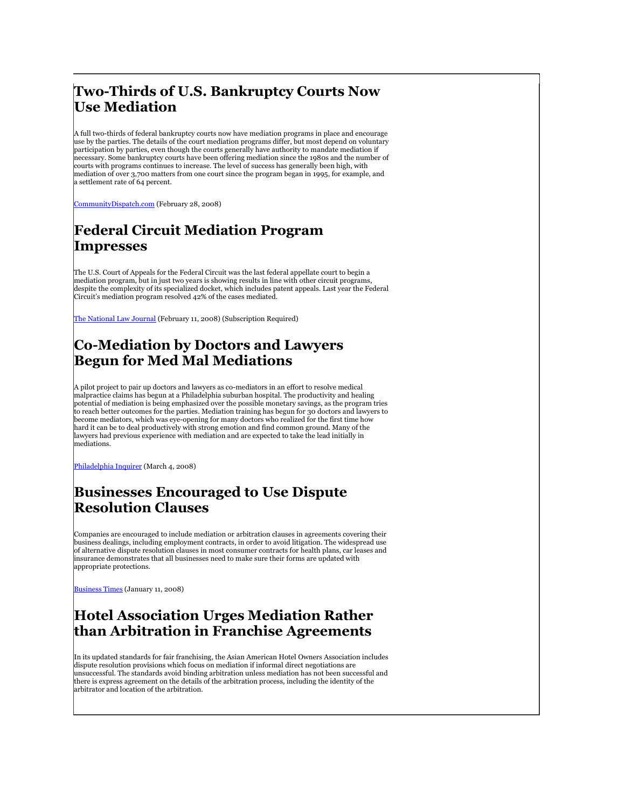# **Two-Thirds of U.S. Bankruptcy Courts Now Use Mediation**

A full two-thirds of federal bankruptcy courts now have mediation programs in place and encourage use by the parties. The details of the court mediation programs differ, but most depend on voluntary participation by parties, even though the courts generally have authority to mandate mediation if necessary. Some bankruptcy courts have been offering mediation since the 1980s and the number of courts with programs continues to increase. The level of success has generally been high, with mediation of over 3,700 matters from one court since the program began in 1995, for example, and a settlement rate of 64 percent.

[CommunityDispatch.com](http://tinyurl.com/2k4dog) (February 28, 2008)

# **Federal Circuit Mediation Program Impresses**

The U.S. Court of Appeals for the Federal Circuit was the last federal appellate court to begin a mediation program, but in just two years is showing results in line with other circuit programs, despite the complexity of its specialized docket, which includes patent appeals. Last year the Federal Circuit's mediation program resolved 42% of the cases mediated.

[The National Law Journal](http://tinyurl.com/3bnbdq) (February 11, 2008) (Subscription Required)

# **Co-Mediation by Doctors and Lawyers Begun for Med Mal Mediations**

A pilot project to pair up doctors and lawyers as co-mediators in an effort to resolve medical malpractice claims has begun at a Philadelphia suburban hospital. The productivity and healing potential of mediation is being emphasized over the possible monetary savings, as the program tries to reach better outcomes for the parties. Mediation training has begun for 30 doctors and lawyers to become mediators, which was eye-opening for many doctors who realized for the first time how hard it can be to deal productively with strong emotion and find common ground. Many of the lawyers had previous experience with mediation and are expected to take the lead initially in mediations.

[Philadelphia Inquirer](http://tinyurl.com/3cawqs) (March 4, 2008)

# **Businesses Encouraged to Use Dispute Resolution Clauses**

Companies are encouraged to include mediation or arbitration clauses in agreements covering their business dealings, including employment contracts, in order to avoid litigation. The widespread use of alternative dispute resolution clauses in most consumer contracts for health plans, car leases and insurance demonstrates that all businesses need to make sure their forms are updated with appropriate protections.

[Business Times](hhttp://tinyurl.com/3yx4u9) (January 11, 2008)

# **Hotel Association Urges Mediation Rather than Arbitration in Franchise Agreements**

In its updated standards for fair franchising, the Asian American Hotel Owners Association includes dispute resolution provisions which focus on mediation if informal direct negotiations are unsuccessful. The standards avoid binding arbitration unless mediation has not been successful and there is express agreement on the details of the arbitration process, including the identity of the arbitrator and location of the arbitration.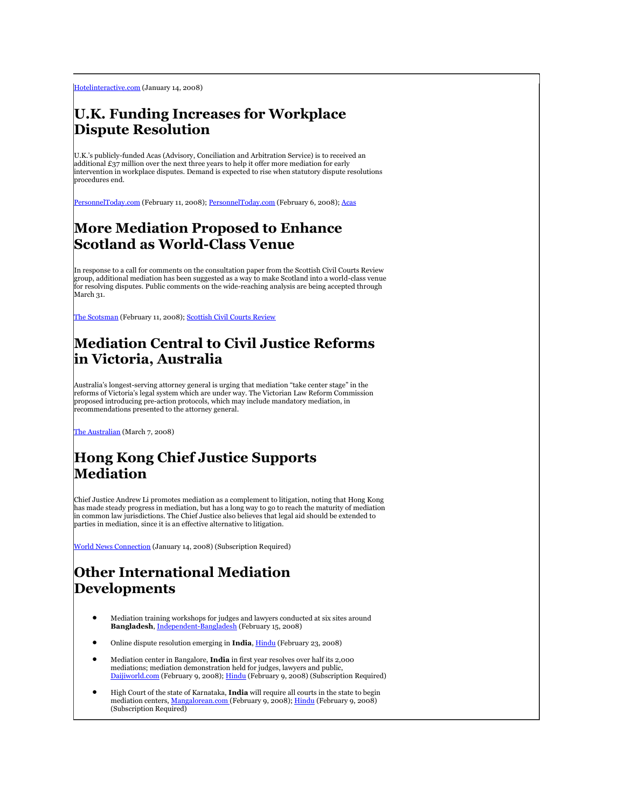[Hotelinteractive.com](http://www.hotelinteractive.com/hi_index.asp?page_id=5000&article_id=9620) (January 14, 2008)

### **U.K. Funding Increases for Workplace Dispute Resolution**

U.K.'s publicly-funded Acas (Advisory, Conciliation and Arbitration Service) is to received an additional £37 million over the next three years to help it offer more mediation for early intervention in workplace disputes. Demand is expected to rise when statutory dispute resolutions procedures end.

[PersonnelToday.com](http://tinyurl.com/2gxohx) (February 11, 2008)[; PersonnelToday.com](http://tinyurl.com/37dmq8) (February 6, 2008)[; Acas](http://www.acas.org.uk/)

#### **More Mediation Proposed to Enhance Scotland as World-Class Venue**

In response to a call for comments on the consultation paper from the Scottish Civil Courts Review group, additional mediation has been suggested as a way to make Scotland into a world-class venue for resolving disputes. Public comments on the wide-reaching analysis are being accepted through March 31.

[The Scotsman](http://business.scotsman.com/business/Changing-system-is-an-exciting.3763038.jp) (February 11, 2008)[; Scottish Civil Courts Review](http://www.scotcourts.gov.uk/civilcourtsreview/)

# **Mediation Central to Civil Justice Reforms in Victoria, Australia**

Australia's longest-serving attorney general is urging that mediation "take center stage" in the reforms of Victoria's legal system which are under way. The Victorian Law Reform Commission proposed introducing pre-action protocols, which may include mandatory mediation, in recommendations presented to the attorney general.

[The Australian](http://www.theaustralian.news.com.au/story/0,25197,23330567-5013945,00.html) (March 7, 2008)

# **Hong Kong Chief Justice Supports Mediation**

Chief Justice Andrew Li promotes mediation as a complement to litigation, noting that Hong Kong has made steady progress in mediation, but has a long way to go to reach the maturity of mediation in common law jurisdictions. The Chief Justice also believes that legal aid should be extended to parties in mediation, since it is an effective alternative to litigation.

[World News Connection](http://tinyurl.com/2kowho) (January 14, 2008) (Subscription Required)

# **Other International Mediation Developments**

- Mediation training workshops for judges and lawyers conducted at six sites around **Bangladesh**[, Independent-Bangladesh](http://tinyurl.com/38of3q) (February 15, 2008)
- Online dispute resolution emerging in India[, Hindu](http://www.hindu.com/thehindu/holnus/002200802232140.htm) (February 23, 2008)
- Mediation center in Bangalore, **India** in first year resolves over half its 2,000 mediations; mediation demonstration held for judges, lawyers and public, [Daijiworld.com](http://tinyurl.com/3batp9) (February 9, 2008)[; Hindu](http://tinyurl.com/2nyqfk) (February 9, 2008) (Subscription Required)
- High Court of the state of Karnataka, **India** will require all courts in the state to begin mediation centers[, Mangalorean.com \(F](http://mangalorean.com/news.php?newstype=local&newsid=66623)ebruary 9, 2008)[; Hindu](http://tinyurl.com/3yvflg) (February 9, 2008) (Subscription Required)